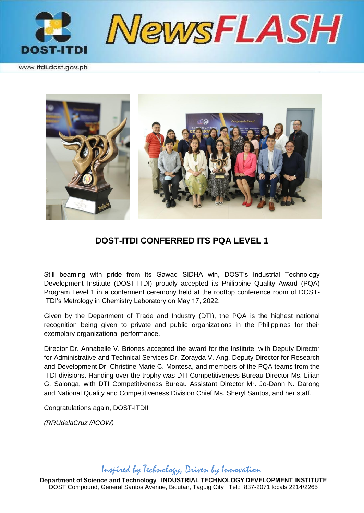

www.itdi.dost.gov.ph



## **DOST-ITDI CONFERRED ITS PQA LEVEL 1**

Still beaming with pride from its Gawad SIDHA win, DOST's Industrial Technology Development Institute (DOST-ITDI) proudly accepted its Philippine Quality Award (PQA) Program Level 1 in a conferment ceremony held at the rooftop conference room of DOST-ITDI's Metrology in Chemistry Laboratory on May 17, 2022.

Given by the Department of Trade and Industry (DTI), the PQA is the highest national recognition being given to private and public organizations in the Philippines for their exemplary organizational performance.

Director Dr. Annabelle V. Briones accepted the award for the Institute, with Deputy Director for Administrative and Technical Services Dr. Zorayda V. Ang, Deputy Director for Research and Development Dr. Christine Marie C. Montesa, and members of the PQA teams from the ITDI divisions. Handing over the trophy was DTI Competitiveness Bureau Director Ms. Lilian G. Salonga, with DTI Competitiveness Bureau Assistant Director Mr. Jo-Dann N. Darong and National Quality and Competitiveness Division Chief Ms. Sheryl Santos, and her staff.

Congratulations again, DOST-ITDI!

*(RRUdelaCruz //ICOW)*

## Inspired by Technology, Driven by Innovation

**Department of Science and Technology INDUSTRIAL TECHNOLOGY DEVELOPMENT INSTITUTE** DOST Compound, General Santos Avenue, Bicutan, Taguig City Tel.: 837-2071 locals 2214/2265